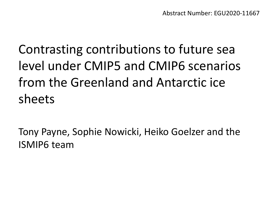# Contrasting contributions to future sea level under CMIP5 and CMIP6 scenarios from the Greenland and Antarctic ice sheets

Tony Payne, Sophie Nowicki, Heiko Goelzer and the ISMIP6 team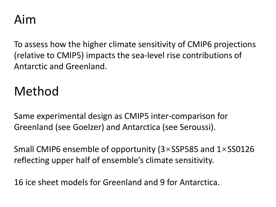## Aim

To assess how the higher climate sensitivity of CMIP6 projections (relative to CMIP5) impacts the sea-level rise contributions of Antarctic and Greenland.

# Method

Same experimental design as CMIP5 inter-comparison for Greenland (see Goelzer) and Antarctica (see Seroussi).

Small CMIP6 ensemble of opportunity (3×SSP585 and 1×SS0126 reflecting upper half of ensemble's climate sensitivity.

16 ice sheet models for Greenland and 9 for Antarctica.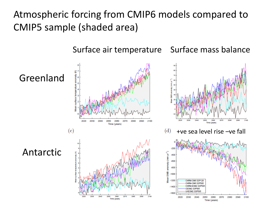Atmospheric forcing from CMIP6 models compared to CMIP5 sample (shaded area)

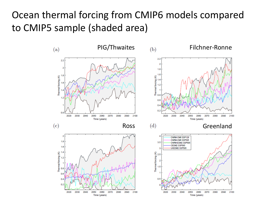#### Ocean thermal forcing from CMIP6 models compared to CMIP5 sample (shaded area)

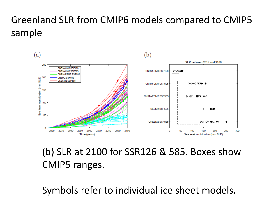### Greenland SLR from CMIP6 models compared to CMIP5 sample



#### (b) SLR at 2100 for SSR126 & 585. Boxes show CMIP5 ranges.

Symbols refer to individual ice sheet models.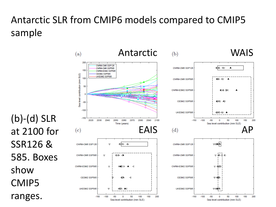### Antarctic SLR from CMIP6 models compared to CMIP5 sample